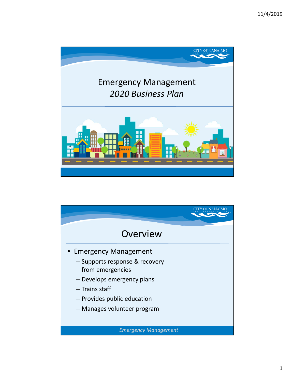

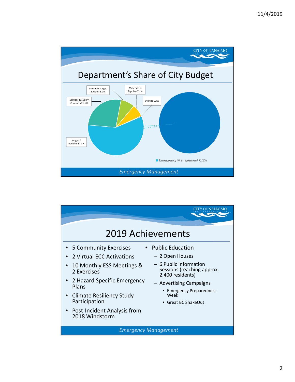

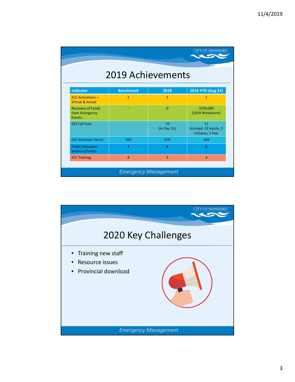| CITY OF NANAIMO<br><b>2019 Achievements</b>             |                  |                   |                                                  |
|---------------------------------------------------------|------------------|-------------------|--------------------------------------------------|
| <b>Indicator</b>                                        | <b>Benchmark</b> | 2018              | 2019 YTD (Aug 31)                                |
| <b>ECC Activations -</b><br><b>Virtual &amp; Actual</b> | $\overline{2}$   | 5                 | $\mathbf{1}$                                     |
| <b>Recovery of Funds</b><br>from Emergency<br>Events    |                  | $\Omega$          | \$159,000<br>(2018 Windstorm)                    |
| <b>ESS Call Outs</b>                                    |                  | 19<br>(to Dec 31) | 11<br>Assisted: 23 Adults, 5<br>Children, 3 Pets |
| <b>ESS Volunteer Hours</b>                              | 500              | 678               | 344                                              |
| <b>Public Education</b><br>Sessions/Events              | $\overline{4}$   | 8                 | 6                                                |
| <b>ECC Training</b>                                     | $\overline{a}$   | $\overline{a}$    | $\overline{a}$                                   |

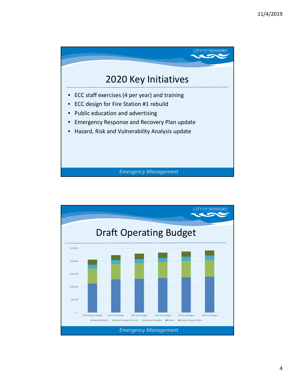